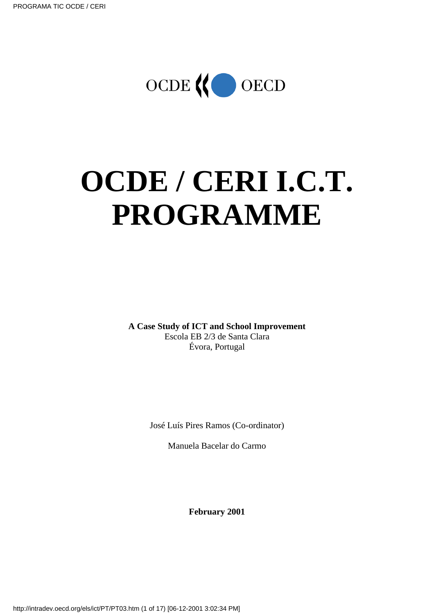

# **OCDE / CERI I.C.T. PROGRAMME**

**A Case Study of ICT and School Improvement** Escola EB 2/3 de Santa Clara Évora, Portugal

José Luís Pires Ramos (Co-ordinator)

Manuela Bacelar do Carmo

**February 2001**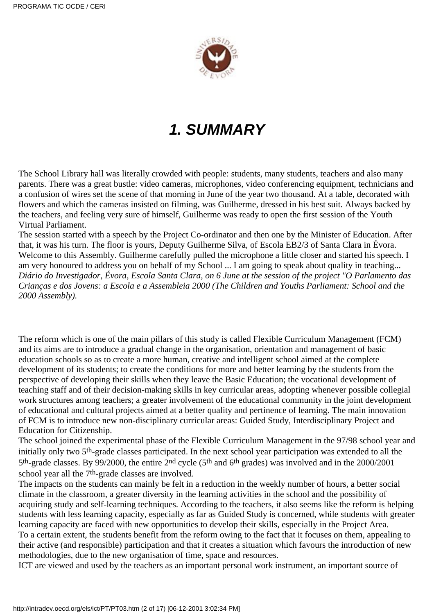

# **1. SUMMARY**

The School Library hall was literally crowded with people: students, many students, teachers and also many parents. There was a great bustle: video cameras, microphones, video conferencing equipment, technicians and a confusion of wires set the scene of that morning in June of the year two thousand. At a table, decorated with flowers and which the cameras insisted on filming, was Guilherme, dressed in his best suit. Always backed by the teachers, and feeling very sure of himself, Guilherme was ready to open the first session of the Youth Virtual Parliament.

The session started with a speech by the Project Co-ordinator and then one by the Minister of Education. After that, it was his turn. The floor is yours, Deputy Guilherme Silva, of Escola EB2/3 of Santa Clara in Évora. Welcome to this Assembly. Guilherme carefully pulled the microphone a little closer and started his speech. I am very honoured to address you on behalf of my School ... I am going to speak about quality in teaching... *Diário do Investigador, Évora, Escola Santa Clara, on 6 June at the session of the project "O Parlamento das Crianças e dos Jovens: a Escola e a Assembleia 2000 (The Children and Youths Parliament: School and the 2000 Assembly).*

The reform which is one of the main pillars of this study is called Flexible Curriculum Management (FCM) and its aims are to introduce a gradual change in the organisation, orientation and management of basic education schools so as to create a more human, creative and intelligent school aimed at the complete development of its students; to create the conditions for more and better learning by the students from the perspective of developing their skills when they leave the Basic Education; the vocational development of teaching staff and of their decision-making skills in key curricular areas, adopting whenever possible collegial work structures among teachers; a greater involvement of the educational community in the joint development of educational and cultural projects aimed at a better quality and pertinence of learning. The main innovation of FCM is to introduce new non-disciplinary curricular areas: Guided Study, Interdisciplinary Project and Education for Citizenship.

The school joined the experimental phase of the Flexible Curriculum Management in the 97/98 school year and initially only two 5th-grade classes participated. In the next school year participation was extended to all the 5th-grade classes. By 99/2000, the entire 2nd cycle (5th and 6th grades) was involved and in the 2000/2001 school year all the 7<sup>th</sup>-grade classes are involved.

The impacts on the students can mainly be felt in a reduction in the weekly number of hours, a better social climate in the classroom, a greater diversity in the learning activities in the school and the possibility of acquiring study and self-learning techniques. According to the teachers, it also seems like the reform is helping students with less learning capacity, especially as far as Guided Study is concerned, while students with greater learning capacity are faced with new opportunities to develop their skills, especially in the Project Area. To a certain extent, the students benefit from the reform owing to the fact that it focuses on them, appealing to their active (and responsible) participation and that it creates a situation which favours the introduction of new methodologies, due to the new organisation of time, space and resources.

ICT are viewed and used by the teachers as an important personal work instrument, an important source of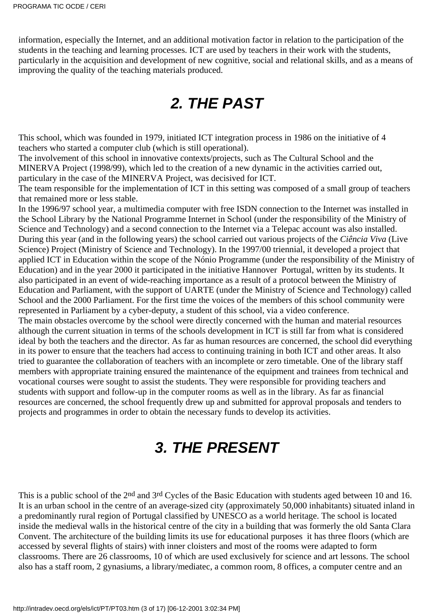information, especially the Internet, and an additional motivation factor in relation to the participation of the students in the teaching and learning processes. ICT are used by teachers in their work with the students, particularly in the acquisition and development of new cognitive, social and relational skills, and as a means of improving the quality of the teaching materials produced.

# **2. THE PAST**

This school, which was founded in 1979, initiated ICT integration process in 1986 on the initiative of 4 teachers who started a computer club (which is still operational).

The involvement of this school in innovative contexts/projects, such as The Cultural School and the MINERVA Project (1998/99), which led to the creation of a new dynamic in the activities carried out, particulary in the case of the MINERVA Project, was decisived for ICT.

The team responsible for the implementation of ICT in this setting was composed of a small group of teachers that remained more or less stable.

In the 1996/97 school year, a multimedia computer with free ISDN connection to the Internet was installed in the School Library by the National Programme Internet in School (under the responsibility of the Ministry of Science and Technology) and a second connection to the Internet via a Telepac account was also installed. During this year (and in the following years) the school carried out various projects of the *Ciência Viva* (Live Science) Project (Ministry of Science and Technology). In the 1997/00 triennial, it developed a project that applied ICT in Education within the scope of the Nónio Programme (under the responsibility of the Ministry of Education) and in the year 2000 it participated in the initiative Hannover Portugal, written by its students. It also participated in an event of wide-reaching importance as a result of a protocol between the Ministry of Education and Parliament, with the support of UARTE (under the Ministry of Science and Technology) called School and the 2000 Parliament. For the first time the voices of the members of this school community were represented in Parliament by a cyber-deputy, a student of this school, via a video conference.

The main obstacles overcome by the school were directly concerned with the human and material resources although the current situation in terms of the schools development in ICT is still far from what is considered ideal by both the teachers and the director. As far as human resources are concerned, the school did everything in its power to ensure that the teachers had access to continuing training in both ICT and other areas. It also tried to guarantee the collaboration of teachers with an incomplete or zero timetable. One of the library staff members with appropriate training ensured the maintenance of the equipment and trainees from technical and vocational courses were sought to assist the students. They were responsible for providing teachers and students with support and follow-up in the computer rooms as well as in the library. As far as financial resources are concerned, the school frequently drew up and submitted for approval proposals and tenders to projects and programmes in order to obtain the necessary funds to develop its activities.

# **3. THE PRESENT**

This is a public school of the 2nd and 3rd Cycles of the Basic Education with students aged between 10 and 16. It is an urban school in the centre of an average-sized city (approximately 50,000 inhabitants) situated inland in a predominantly rural region of Portugal classified by UNESCO as a world heritage. The school is located inside the medieval walls in the historical centre of the city in a building that was formerly the old Santa Clara Convent. The architecture of the building limits its use for educational purposes it has three floors (which are accessed by several flights of stairs) with inner cloisters and most of the rooms were adapted to form classrooms. There are 26 classrooms, 10 of which are used exclusively for science and art lessons. The school also has a staff room, 2 gynasiums, a library/mediatec, a common room, 8 offices, a computer centre and an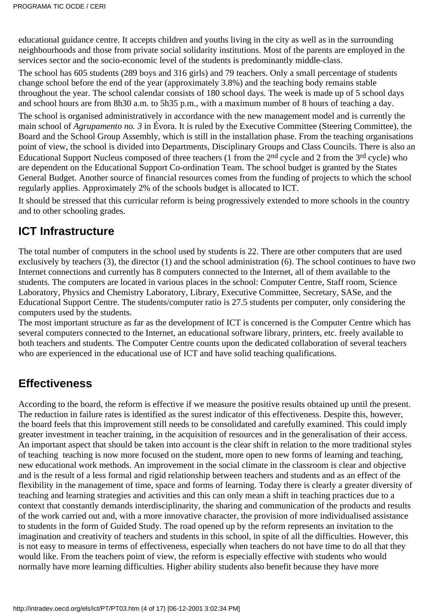educational guidance centre. It accepts children and youths living in the city as well as in the surrounding neighbourhoods and those from private social solidarity institutions. Most of the parents are employed in the services sector and the socio-economic level of the students is predominantly middle-class.

The school has 605 students (289 boys and 316 girls) and 79 teachers. Only a small percentage of students change school before the end of the year (approximately 3.8%) and the teaching body remains stable throughout the year. The school calendar consists of 180 school days. The week is made up of 5 school days and school hours are from 8h30 a.m. to 5h35 p.m., with a maximum number of 8 hours of teaching a day.

The school is organised administratively in accordance with the new management model and is currently the main school of *Agrupamento no. 3* in Évora. It is ruled by the Executive Committee (Steering Committee), the Board and the School Group Assembly, which is still in the installation phase. From the teaching organisation s point of view, the school is divided into Departments, Disciplinary Groups and Class Councils. There is also an Educational Support Nucleus composed of three teachers (1 from the 2nd cycle and 2 from the 3rd cycle) who are dependent on the Educational Support Co-ordination Team. The school budget is granted by the States General Budget. Another source of financial resources comes from the funding of projects to which the school regularly applies. Approximately 2% of the school s budget is allocated to ICT.

It should be stressed that this curricular reform is being progressively extended to more schools in the country and to other schooling grades.

### **ICT Infrastructure**

The total number of computers in the school used by students is 22. There are other computers that are used exclusively by teachers (3), the director (1) and the school administration (6). The school continues to have two Internet connections and currently has 8 computers connected to the Internet, all of them available to the students. The computers are located in various places in the school: Computer Centre, Staff room, Science Laboratory, Physics and Chemistry Laboratory, Library, Executive Committee, Secretary, SASe, and the Educational Support Centre. The students/computer ratio is 27.5 students per computer, only considering the computers used by the students.

The most important structure as far as the development of ICT is concerned is the Computer Centre which has several computers connected to the Internet, an educational software library, printers, etc. freely available to both teachers and students. The Computer Centre counts upon the dedicated collaboration of several teachers who are experienced in the educational use of ICT and have solid teaching qualifications.

### **Effectiveness**

According to the board, the reform is effective if we measure the positive results obtained up until the present. The reduction in failure rates is identified as the surest indicator of this effectiveness. Despite this, however, the board feels that this improvement still needs to be consolidated and carefully examined. This could imply greater investment in teacher training, in the acquisition of resources and in the generalisation of their access. An important aspect that should be taken into account is the clear shift in relation to the more traditional styles of teaching teaching is now more focused on the student, more open to new forms of learning and teaching, new educational work methods. An improvement in the social climate in the classroom is clear and objective and is the result of a less formal and rigid relationship between teachers and students and as an effect of the flexibility in the management of time, space and forms of learning. Today there is clearly a greater diversity of teaching and learning strategies and activities and this can only mean a shift in teaching practices due to a context that constantly demands interdisciplinarity, the sharing and communication of the products and results of the work carried out and, with a more innovative character, the provision of more individualised assistance to students in the form of Guided Study. The road opened up by the reform represents an invitation to the imagination and creativity of teachers and students in this school, in spite of all the difficulties. However, this is not easy to measure in terms of effectiveness, especially when teachers do not have time to do all that they would like. From the teachers point of view, the reform is especially effective with students who would normally have more learning difficulties. Higher ability students also benefit because they have more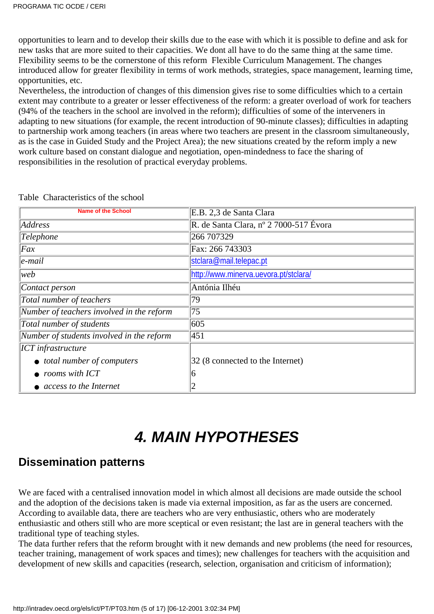opportunities to learn and to develop their skills due to the ease with which it is possible to define and ask for new tasks that are more suited to their capacities. We dont all have to do the same thing at the same time. Flexibility seems to be the cornerstone of this reform Flexible Curriculum Management. The changes introduced allow for greater flexibility in terms of work methods, strategies, space management, learning time, opportunities, etc.

Nevertheless, the introduction of changes of this dimension gives rise to some difficulties which to a certain extent may contribute to a greater or lesser effectiveness of the reform: a greater overload of work for teachers (94% of the teachers in the school are involved in the reform); difficulties of some of the interveners in adapting to new situations (for example, the recent introduction of 90-minute classes); difficulties in adapting to partnership work among teachers (in areas where two teachers are present in the classroom simultaneously, as is the case in Guided Study and the Project Area); the new situations created by the reform imply a new work culture based on constant dialogue and negotiation, open-mindedness to face the sharing of responsibilities in the resolution of practical everyday problems.

| <b>Name of the School</b>                 | E.B. 2,3 de Santa Clara                |
|-------------------------------------------|----------------------------------------|
| Address                                   | R. de Santa Clara, nº 2 7000-517 Évora |
| Telephone                                 | 266 707329                             |
| Fax                                       | Fax: 266 743303                        |
| $ e$ -mail                                | stclara@mail.telepac.pt                |
| web                                       | http://www.minerva.uevora.pt/stclara/  |
| Contact person                            | Antónia Ilhéu                          |
| Total number of teachers                  | 79                                     |
| Number of teachers involved in the reform | 75                                     |
| Total number of students                  | 605                                    |
| Number of students involved in the reform | 451                                    |
| <b>ICT</b> infrastructure                 |                                        |
| • total number of computers               | 32 (8 connected to the Internet)       |
| rooms with ICT                            |                                        |
| access to the Internet                    |                                        |

Table Characteristics of the school

# **4. MAIN HYPOTHESES**

### **Dissemination patterns**

We are faced with a centralised innovation model in which almost all decisions are made outside the school and the adoption of the decisions taken is made via external imposition, as far as the users are concerned. According to available data, there are teachers who are very enthusiastic, others who are moderately enthusiastic and others still who are more sceptical or even resistant; the last are in general teachers with the traditional type of teaching styles.

The data further refers that the reform brought with it new demands and new problems (the need for resources, teacher training, management of work spaces and times); new challenges for teachers with the acquisition and development of new skills and capacities (research, selection, organisation and criticism of information);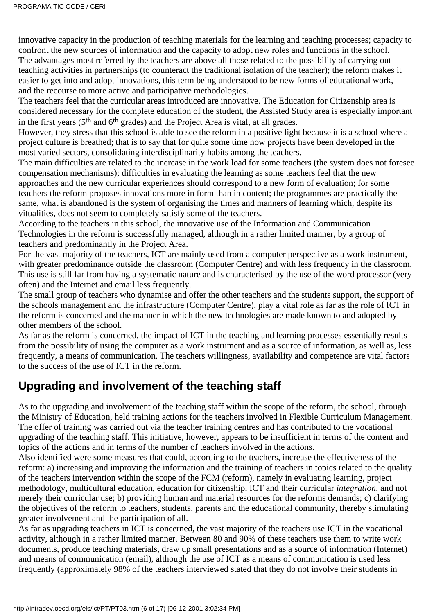innovative capacity in the production of teaching materials for the learning and teaching processes; capacity to confront the new sources of information and the capacity to adopt new roles and functions in the school. The advantages most referred by the teachers are above all those related to the possibility of carrying out teaching activities in partnerships (to counteract the traditional isolation of the teacher); the reform makes it easier to get into and adopt innovations, this term being understood to be new forms of educational work, and the recourse to more active and participative methodologies.

The teachers feel that the curricular areas introduced are innovative. The Education for Citizenship area is considered necessary for the complete education of the student, the Assisted Study area is especially important in the first years (5th and 6th grades) and the Project Area is vital, at all grades.

However, they stress that this school is able to see the reform in a positive light because it is a school where a project culture is breathed; that is to say that for quite some time now projects have been developed in the most varied sectors, consolidating interdisciplinarity habits among the teachers.

The main difficulties are related to the increase in the work load for some teachers (the system does not foresee compensation mechanisms); difficulties in evaluating the learning as some teachers feel that the new approaches and the new curricular experiences should correspond to a new form of evaluation; for some teachers the reform proposes innovations more in form than in content; the programmes are practically the same, what is abandoned is the system of organising the times and manners of learning which, despite its vitualities, does not seem to completely satisfy some of the teachers.

According to the teachers in this school, the innovative use of the Information and Communication Technologies in the reform is successfully managed, although in a rather limited manner, by a group of teachers and predominantly in the Project Area.

For the vast majority of the teachers, ICT are mainly used from a computer perspective as a work instrument, with greater predominance outside the classroom (Computer Centre) and with less frequency in the classroom. This use is still far from having a systematic nature and is characterised by the use of the word processor (very often) and the Internet and email less frequently.

The small group of teachers who dynamise and offer the other teachers and the students support, the support of the schools management and the infrastructure (Computer Centre), play a vital role as far as the role of ICT in the reform is concerned and the manner in which the new technologies are made known to and adopted by other members of the school.

As far as the reform is concerned, the impact of ICT in the teaching and learning processes essentially results from the possibility of using the computer as a work instrument and as a source of information, as well as, less frequently, a means of communication. The teacher s willingness, availability and competence are vital factors to the success of the use of ICT in the reform.

### **Upgrading and involvement of the teaching staff**

As to the upgrading and involvement of the teaching staff within the scope of the reform, the school, through the Ministry of Education, held training actions for the teachers involved in Flexible Curriculum Management. The offer of training was carried out via the teacher training centres and has contributed to the vocational upgrading of the teaching staff. This initiative, however, appears to be insufficient in terms of the content and topics of the actions and in terms of the number of teachers involved in the actions.

Also identified were some measures that could, according to the teachers, increase the effectiveness of the reform: a) increasing and improving the information and the training of teachers in topics related to the quality of the teacher s intervention within the scope of the FCM (reform), namely in evaluating learning, project methodology, multicultural education, education for citizenship, ICT and their curricular *integration*, and not merely their curricular use; b) providing human and material resources for the reforms demands; c) clarifying the objectives of the reform to teachers, students, parents and the educational community, thereby stimulating greater involvement and the participation of all.

As far as upgrading teachers in ICT is concerned, the vast majority of the teachers use ICT in the vocational activity, although in a rather limited manner. Between 80 and 90% of these teachers use them to write work documents, produce teaching materials, draw up small presentations and as a source of information (Internet) and means of communication (email), although the use of ICT as a means of communication is used less frequently (approximately 98% of the teachers interviewed stated that they do not involve their students in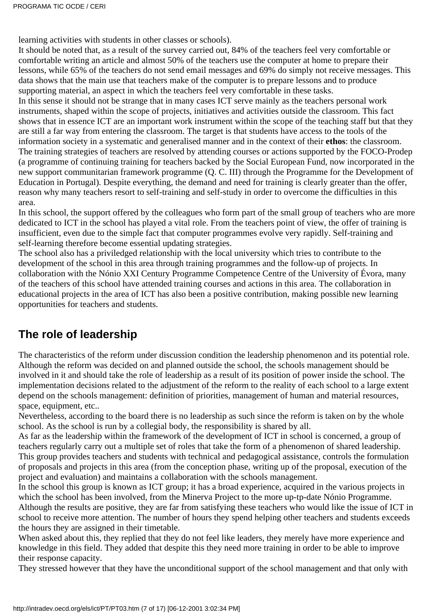learning activities with students in other classes or schools).

It should be noted that, as a result of the survey carried out, 84% of the teachers feel very comfortable or comfortable writing an article and almost 50% of the teachers use the computer at home to prepare their lessons, while 65% of the teachers do not send email messages and 69% do simply not receive messages. This data shows that the main use that teachers make of the computer is to prepare lessons and to produce supporting material, an aspect in which the teachers feel very comfortable in these tasks.

In this sense it should not be strange that in many cases ICT serve mainly as the teachers personal work instruments, shaped within the scope of projects, initiatives and activities outside the classroom. This fact shows that in essence ICT are an important work instrument within the scope of the teaching staff but that they are still a far way from entering the classroom. The target is that students have access to the tools of the information society in a systematic and generalised manner and in the context of their **ethos**: the classroom. The training strategies of teachers are resolved by attending courses or actions supported by the FOCO-Prodep (a programme of continuing training for teachers backed by the Social European Fund, now incorporated in the new support communitarian framework programme (Q. C. III) through the Programme for the Development of Education in Portugal). Despite everything, the demand and need for training is clearly greater than the offer, reason why many teachers resort to self-training and self-study in order to overcome the difficulties in this area.

In this school, the support offered by the colleagues who form part of the small group of teachers who are more dedicated to ICT in the school has played a vital role. From the teachers point of view, the offer of training is insufficient, even due to the simple fact that computer programmes evolve very rapidly. Self-training and self-learning therefore become essential updating strategies.

The school also has a priviledged relationship with the local university which tries to contribute to the development of the school in this area through training programmes and the follow-up of projects. In collaboration with the Nónio XXI Century Programme Competence Centre of the University of Évora, many of the teachers of this school have attended training courses and actions in this area. The collaboration in educational projects in the area of ICT has also been a positive contribution, making possible new learning opportunities for teachers and students.

### **The role of leadership**

The characteristics of the reform under discussion condition the leadership phenomenon and its potential role. Although the reform was decided on and planned outside the school, the school s management should be involved in it and should take the role of leadership as a result of its position of power inside the school. The implementation decisions related to the adjustment of the reform to the reality of each school to a large extent depend on the school s management: definition of priorities, management of human and material resources, space, equipment, etc..

Nevertheless, according to the board there is no leadership as such since the reform is taken on by the whole school. As the school is run by a collegial body, the responsibility is shared by all.

As far as the leadership within the framework of the development of ICT in school is concerned, a group of teachers regularly carry out a multiple set of roles that take the form of a phenomenon of shared leadership. This group provides teachers and students with technical and pedagogical assistance, controls the formulation of proposals and projects in this area (from the conception phase, writing up of the proposal, execution of the project and evaluation) and maintains a collaboration with the school s management.

In the school this group is known as ICT group; it has a broad experience, acquired in the various projects in which the school has been involved, from the Minerva Project to the more up-tp-date Nónio Programme. Although the results are positive, they are far from satisfying these teachers who would like the issue of ICT in school to receive more attention. The number of hours they spend helping other teachers and students exceeds the hours they are assigned in their timetable.

When asked about this, they replied that they do not feel like leaders, they merely have more experience and knowledge in this field. They added that despite this they need more training in order to be able to improve their response capacity.

They stressed however that they have the unconditional support of the school management and that only with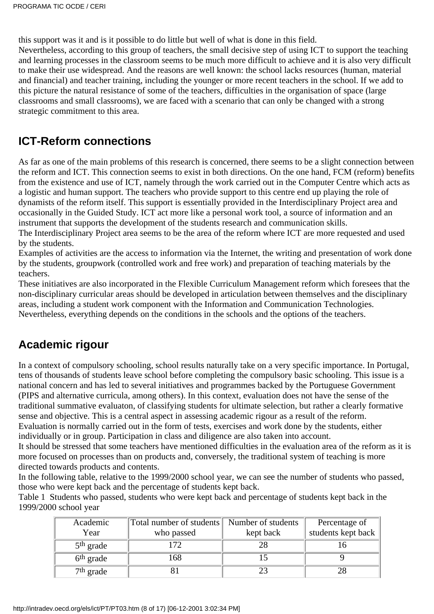this support was it and is it possible to do little but well of what is done in this field. Nevertheless, according to this group of teachers, the small decisive step of using ICT to support the teaching and learning processes in the classroom seems to be much more difficult to achieve and it is also very difficult to make their use widespread. And the reasons are well known: the school lacks resources (human, material and financial) and teacher training, including the younger or more recent teachers in the school. If we add to this picture the natural resistance of some of the teachers, difficulties in the organisation of space (large classrooms and small classrooms), we are faced with a scenario that can only be changed with a strong strategic commitment to this area.

### **ICT-Reform connections**

As far as one of the main problems of this research is concerned, there seems to be a slight connection between the reform and ICT. This connection seems to exist in both directions. On the one hand, FCM (reform) benefits from the existence and use of ICT, namely through the work carried out in the Computer Centre which acts as a logistic and human support. The teachers who provide support to this centre end up playing the role of dynamists of the reform itself. This support is essentially provided in the Interdisciplinary Project area and occasionally in the Guided Study. ICT act more like a personal work tool, a source of information and an instrument that supports the development of the students research and communication skills. The Interdisciplinary Project area seems to be the area of the reform where ICT are more requested and used by the students.

Examples of activities are the access to information via the Internet, the writing and presentation of work done by the students, groupwork (controlled work and free work) and preparation of teaching materials by the teachers.

These initiatives are also incorporated in the Flexible Curriculum Management reform which foresees that the non-disciplinary curricular areas should be developed in articulation between themselves and the disciplinary areas, including a student work component with the Information and Communication Technologies. Nevertheless, everything depends on the conditions in the schools and the options of the teachers.

# **Academic rigour**

In a context of compulsory schooling, school results naturally take on a very specific importance. In Portugal, tens of thousands of students leave school before completing the compulsory basic schooling. This issue is a national concern and has led to several initiatives and programmes backed by the Portuguese Government (PIPS and alternative curricula, among others). In this context, evaluation does not have the sense of the traditional summative evaluaton, of classifying students for ultimate selection, but rather a clearly formative sense and objective. This is a central aspect in assessing academic rigour as a result of the reform.

Evaluation is normally carried out in the form of tests, exercises and work done by the students, either individually or in group. Participation in class and diligence are also taken into account.

It should be stressed that some teachers have mentioned difficulties in the evaluation area of the reform as it is more focused on processes than on products and, conversely, the traditional system of teaching is more directed towards products and contents.

In the following table, relative to the 1999/2000 school year, we can see the number of students who passed, those who were kept back and the percentage of students kept back.

Table 1 Students who passed, students who were kept back and percentage of students kept back in the 1999/2000 school year

| Academic              | Total number of students Number of students |           | Percentage of      |
|-----------------------|---------------------------------------------|-----------|--------------------|
| Year                  | who passed                                  | kept back | students kept back |
| $5th$ grade           | 172                                         | 28        |                    |
| 6 <sup>th</sup> grade | 168                                         |           |                    |
| $7th$ grade           |                                             |           |                    |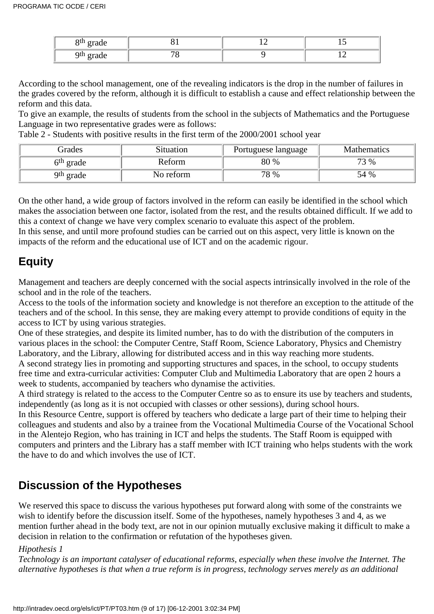| Qth.<br>$\sim$ 110.00<br>$\sim$ $\sim$ | $-$ | . .       |
|----------------------------------------|-----|-----------|
| Qth<br>grade                           |     | --<br>$-$ |

According to the school management, one of the revealing indicators is the drop in the number of failures in the grades covered by the reform, although it is difficult to establish a cause and effect relationship between the reform and this data.

To give an example, the results of students from the school in the subjects of Mathematics and the Portuguese Language in two representative grades were as follows:

Table 2 - Students with positive results in the first term of the 2000/2001 school year

| Grades                | <b>Situation</b> | Portuguese language | <b>Mathematics</b> |
|-----------------------|------------------|---------------------|--------------------|
| 6 <sup>th</sup> grade | Reform           | 80 %                | 73 %               |
| 9 <sup>th</sup> grade | No reform        | 78 %                | 54 %               |

On the other hand, a wide group of factors involved in the reform can easily be identified in the school which makes the association between one factor, isolated from the rest, and the results obtained difficult. If we add to this a context of change we have very complex scenario to evaluate this aspect of the problem.

In this sense, and until more profound studies can be carried out on this aspect, very little is known on the impacts of the reform and the educational use of ICT and on the academic rigour.

# **Equity**

Management and teachers are deeply concerned with the social aspects intrinsically involved in the role of the school and in the role of the teachers.

Access to the tools of the information society and knowledge is not therefore an exception to the attitude of the teachers and of the school. In this sense, they are making every attempt to provide conditions of equity in the access to ICT by using various strategies.

One of these strategies, and despite its limited number, has to do with the distribution of the computers in various places in the school: the Computer Centre, Staff Room, Science Laboratory, Physics and Chemistry Laboratory, and the Library, allowing for distributed access and in this way reaching more students.

A second strategy lies in promoting and supporting structures and spaces, in the school, to occupy students free time and extra-curricular activities: Computer Club and Multimedia Laboratory that are open 2 hours a week to students, accompanied by teachers who dynamise the activities.

A third strategy is related to the access to the Computer Centre so as to ensure its use by teachers and students, independently (as long as it is not occupied with classes or other sessions), during school hours.

In this Resource Centre, support is offered by teachers who dedicate a large part of their time to helping their colleagues and students and also by a trainee from the Vocational Multimedia Course of the Vocational School in the Alentejo Region, who has training in ICT and helps the students. The Staff Room is equipped with computers and printers and the Library has a staff member with ICT training who helps students with the work the have to do and which involves the use of ICT.

# **Discussion of the Hypotheses**

We reserved this space to discuss the various hypotheses put forward along with some of the constraints we wish to identify before the discussion itself. Some of the hypotheses, namely hypotheses 3 and 4, as we mention further ahead in the body text, are not in our opinion mutually exclusive making it difficult to make a decision in relation to the confirmation or refutation of the hypotheses given.

#### *Hipothesis 1*

*Technology is an important catalyser of educational reforms, especially when these involve the Internet. The alternative hypotheses is that when a true reform is in progress, technology serves merely as an additional*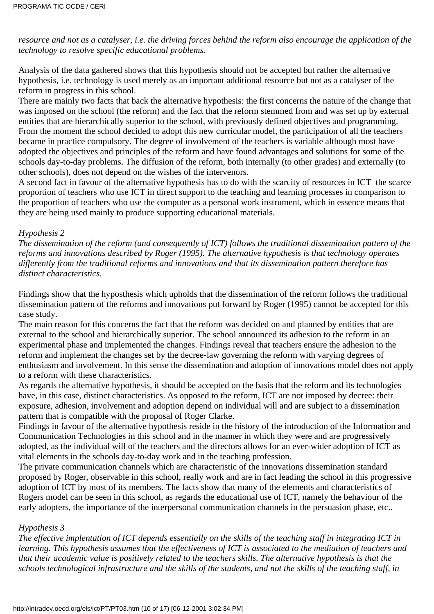*resource and not as a catalyser, i.e. the driving forces behind the reform also encourage the application of the technology to resolve specific educational problems.*

Analysis of the data gathered shows that this hypothesis should not be accepted but rather the alternative hypothesis, i.e. technology is used merely as an important additional resource but not as a catalyser of the reform in progress in this school.

There are mainly two facts that back the alternative hypothesis: the first concerns the nature of the change that was imposed on the school (the reform) and the fact that the reform stemmed from and was set up by external entities that are hierarchically superior to the school, with previously defined objectives and programming. From the moment the school decided to adopt this new curricular model, the participation of all the teachers became in practice compulsory. The degree of involvement of the teachers is variable although most have adopted the objectives and principles of the reform and have found advantages and solutions for some of the school s day-to-day problems. The diffusion of the reform, both internally (to other grades) and externally (to other schools), does not depend on the wishes of the intervenors.

A second fact in favour of the alternative hypothesis has to do with the scarcity of resources in ICT the scarce proportion of teachers who use ICT in direct support to the teaching and learning processes in comparison to the proportion of teachers who use the computer as a personal work instrument, which in essence means that they are being used mainly to produce supporting educational materials.

#### *Hypothesis 2*

*The dissemination of the reform (and consequently of ICT) follows the traditional dissemination pattern of the reforms and innovations described by Roger (1995). The alternative hypothesis is that technology operates differently from the traditional reforms and innovations and that its dissemination pattern therefore has distinct characteristics.*

Findings show that the hyposthesis which upholds that the dissemination of the reform follows the traditional dissemination pattern of the reforms and innovations put forward by Roger (1995) cannot be accepted for this case study.

The main reason for this concerns the fact that the reform was decided on and planned by entities that are external to the school and hierarchically superior. The school announced its adhesion to the reform in an experimental phase and implemented the changes. Findings reveal that teachers ensure the adhesion to the reform and implement the changes set by the decree-law governing the reform with varying degrees of enthusiasm and involvement. In this sense the dissemination and adoption of innovations model does not apply to a reform with these characteristics.

As regards the alternative hypothesis, it should be accepted on the basis that the reform and its technologies have, in this case, distinct characteristics. As opposed to the reform, ICT are not imposed by decree: their exposure, adhesion, involvement and adoption depend on individual will and are subject to a dissemination pattern that is compatible with the proposal of Roger Clarke.

Findings in favour of the alternative hypothesis reside in the history of the introduction of the Information and Communication Technologies in this school and in the manner in which they were and are progressively adopted, as the individual will of the teachers and the directors allows for an ever-wider adoption of ICT as vital elements in the schools day-to-day work and in the teaching profession.

The private communication channels which are characteristic of the innovations dissemination standard proposed by Roger, observable in this school, really work and are in fact leading the school in this progressive adoption of ICT by most of its members. The facts show that many of the elements and characteristics of Roger s model can be seen in this school, as regards the educational use of ICT, namely the behaviour of the early adopters, the importance of the interpersonal communication channels in the persuasion phase, etc..

#### *Hypothesis 3*

*The effective implentation of ICT depends essentially on the skills of the teaching staff in integrating ICT in learning. This hypothesis assumes that the effectiveness of ICT is associated to the mediation of teachers and that their academic value is positively related to the teacher s skills. The alternative hypothesis is that the schools technological infrastructure and the skills of the students, and not the skills of the teaching staff, in*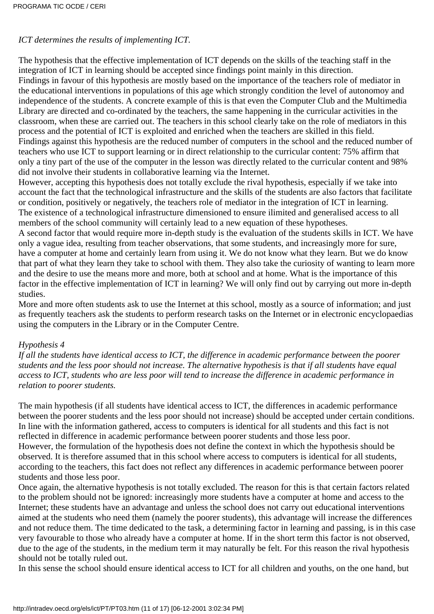#### *ICT determines the results of implementing ICT.*

The hypothesis that the effective implementation of ICT depends on the skills of the teaching staff in the integration of ICT in learning should be accepted since findings point mainly in this direction.

Findings in favour of this hypothesis are mostly based on the importance of the teacher s role of mediator in the educational interventions in populations of this age which strongly condition the level of autonomoy and independence of the students. A concrete example of this is that even the Computer Club and the Multimedia Library are directed and co-ordinated by the teachers, the same happening in the curricular activities in the classroom, when these are carried out. The teachers in this school clearly take on the role of mediators in this process and the potential of ICT is exploited and enriched when the teachers are skilled in this field. Findings against this hypothesis are the reduced number of computers in the school and the reduced number of teachers who use ICT to support learning or in direct relationship to the curricular content: 75% affirm that only a tiny part of the use of the computer in the lesson was directly related to the curricular content and 98% did not involve their students in collaborative learning via the Internet.

However, accepting this hypothesis does not totally exclude the rival hypothesis, especially if we take into account the fact that the technological infrastructure and the skills of the students are also factors that facilitate or condition, positively or negatively, the teacher s role of mediator in the integration of ICT in learning. The existence of a technological infrastructure dimensioned to ensure ilimited and generalised access to all members of the school community will certainly lead to a new equation of these hypotheses.

A second factor that would require more in-depth study is the evaluation of the students skills in ICT. We have only a vague idea, resulting from teacher observations, that some students, and increasingly more for sure, have a computer at home and certainly learn from using it. We do not know what they learn. But we do know that part of what they learn they take to school with them. They also take the curiosity of wanting to learn more and the desire to use the means more and more, both at school and at home. What is the importance of this factor in the effective implementation of ICT in learning? We will only find out by carrying out more in-depth studies.

More and more often students ask to use the Internet at this school, mostly as a source of information; and just as frequently teachers ask the students to perform research tasks on the Internet or in electronic encyclopaedias using the computers in the Library or in the Computer Centre.

#### *Hypothesis 4*

*If all the students have identical access to ICT, the difference in academic performance between the poorer students and the less poor should not increase. The alternative hypothesis is that if all students have equal access to ICT, students who are less poor will tend to increase the difference in academic performance in relation to poorer students.*

The main hypothesis (if all students have identical access to ICT, the differences in academic performance between the poorer students and the less poor should not increase) should be accepted under certain conditions. In line with the information gathered, access to computers is identical for all students and this fact is not reflected in difference in academic performance between poorer students and those less poor.

However, the formulation of the hypothesis does not define the context in which the hypothesis should be observed. It is therefore assumed that in this school where access to computers is identical for all students, according to the teachers, this fact does not reflect any differences in academic performance between poorer students and those less poor.

Once again, the alternative hypothesis is not totally excluded. The reason for this is that certain factors related to the problem should not be ignored: increasingly more students have a computer at home and access to the Internet; these students have an advantage and unless the school does not carry out educational interventions aimed at the students who need them (namely the poorer students), this advantage will increase the differences and not reduce them. The time dedicated to the task, a determining factor in learning and passing, is in this case very favourable to those who already have a computer at home. If in the short term this factor is not observed, due to the age of the students, in the medium term it may naturally be felt. For this reason the rival hypothesis should not be totally ruled out.

In this sense the school should ensure identical access to ICT for all children and youths, on the one hand, but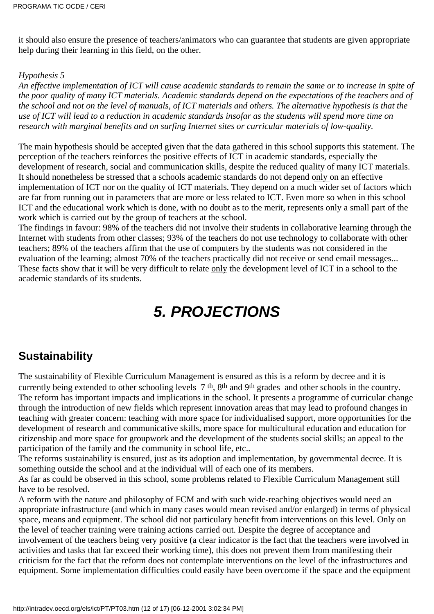it should also ensure the presence of teachers/animators who can guarantee that students are given appropriate help during their learning in this field, on the other.

#### *Hypothesis 5*

*An effective implementation of ICT will cause academic standards to remain the same or to increase in spite of the poor quality of many ICT materials. Academic standards depend on the expectations of the teachers and of the school and not on the level of manuals, of ICT materials and others. The alternative hypothesis is that the use of ICT will lead to a reduction in academic standards insofar as the students will spend more time on research with marginal benefits and on surfing Internet sites or curricular materials of low-quality.*

The main hypothesis should be accepted given that the data gathered in this school supports this statement. The perception of the teachers reinforces the positive effects of ICT in academic standards, especially the development of research, social and communication skills, despite the reduced quality of many ICT materials. It should nonetheless be stressed that a school s academic standards do not depend only on an effective implementation of ICT nor on the quality of ICT materials. They depend on a much wider set of factors which are far from running out in parameters that are more or less related to ICT. Even more so when in this school ICT and the educational work which is done, with no doubt as to the merit, represents only a small part of the work which is carried out by the group of teachers at the school.

The findings in favour: 98% of the teachers did not involve their students in collaborative learning through the Internet with students from other classes; 93% of the teachers do not use technology to collaborate with other teachers; 89% of the teachers affirm that the use of computers by the students was not considered in the evaluation of the learning; almost 70% of the teachers practically did not receive or send email messages... These facts show that it will be very difficult to relate only the development level of ICT in a school to the academic standards of its students.

# **5. PROJECTIONS**

### **Sustainability**

The sustainability of Flexible Curriculum Management is ensured as this is a reform by decree and it is currently being extended to other schooling levels 7<sup>th</sup>, 8<sup>th</sup> and 9<sup>th</sup> grades and other schools in the country. The reform has important impacts and implications in the school. It presents a programme of curricular change through the introduction of new fields which represent innovation areas that may lead to profound changes in teaching with greater concern: teaching with more space for individualised support, more opportunities for the development of research and communicative skills, more space for multicultural education and education for citizenship and more space for groupwork and the development of the students social skills; an appeal to the participation of the family and the community in school life, etc..

The reform s sustainability is ensured, just as its adoption and implementation, by governmental decree. It is something outside the school and at the individual will of each one of its members.

As far as could be observed in this school, some problems related to Flexible Curriculum Management still have to be resolved.

A reform with the nature and philosophy of FCM and with such wide-reaching objectives would need an appropriate infrastructure (and which in many cases would mean revised and/or enlarged) in terms of physical space, means and equipment. The school did not particulary benefit from interventions on this level. Only on the level of teacher training were training actions carried out. Despite the degree of acceptance and involvement of the teachers being very positive (a clear indicator is the fact that the teachers were involved in activities and tasks that far exceed their working time), this does not prevent them from manifesting their criticism for the fact that the reform does not contemplate interventions on the level of the infrastructures and equipment. Some implementation difficulties could easily have been overcome if the space and the equipment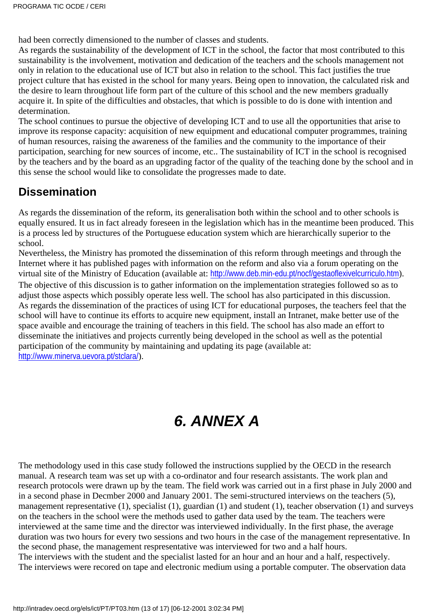had been correctly dimensioned to the number of classes and students.

As regards the sustainability of the development of ICT in the school, the factor that most contributed to this sustainability is the involvement, motivation and dedication of the teachers and the school s management not only in relation to the educational use of ICT but also in relation to the school. This fact justifies the true project culture that has existed in the school for many years. Being open to innovation, the calculated risk and the desire to learn throughout life form part of the culture of this school and the new members gradually acquire it. In spite of the difficulties and obstacles, that which is possible to do is done with intention and determination.

The school continues to pursue the objective of developing ICT and to use all the opportunities that arise to improve its response capacity: acquisition of new equipment and educational computer programmes, training of human resources, raising the awareness of the families and the community to the importance of their participation, searching for new sources of income, etc.. The sustainability of ICT in the school is recognised by the teachers and by the board as an upgrading factor of the quality of the teaching done by the school and in this sense the school would like to consolidate the progresses made to date.

### **Dissemination**

As regards the dissemination of the reform, its generalisation both within the school and to other schools is equally ensured. It us in fact already foreseen in the legislation which has in the meantime been produced. This is a process led by structures of the Portuguese education system which are hierarchically superior to the school.

Nevertheless, the Ministry has promoted the dissemination of this reform through meetings and through the Internet where it has published pages with information on the reform and also via a forum operating on the virtual site of the Ministry of Education (available at: <http://www.deb.min-edu.pt/nocf/gestaoflexivelcurriculo.htm>). The objective of this discussion is to gather information on the implementation strategies followed so as to adjust those aspects which possibly operate less well. The school has also participated in this discussion. As regards the dissemination of the practices of using ICT for educational purposes, the teachers feel that the school will have to continue its efforts to acquire new equipment, install an Intranet, make better use of the space avaible and encourage the training of teachers in this field. The school has also made an effort to disseminate the initiatives and projects currently being developed in the school as well as the potential participation of the community by maintaining and updating its page (available at: <http://www.minerva.uevora.pt/stclara/>).

# **6. ANNEX A**

The methodology used in this case study followed the instructions supplied by the OECD in the research manual. A research team was set up with a co-ordinator and four research assistants. The work plan and research protocols were drawn up by the team. The field work was carried out in a first phase in July 2000 and in a second phase in Decmber 2000 and January 2001. The semi-structured interviews on the teachers (5), management representative (1), specialist (1), guardian (1) and student (1), teacher observation (1) and surveys on the teachers in the school were the methods used to gather data used by the team. The teachers were interviewed at the same time and the director was interviewed individually. In the first phase, the average duration was two hours for every two sessions and two hours in the case of the management representative. In the second phase, the management respresentative was interviewed for two and a half hours. The interviews with the student and the specialist lasted for an hour and an hour and a half, respectively. The interviews were recored on tape and electronic medium using a portable computer. The observation data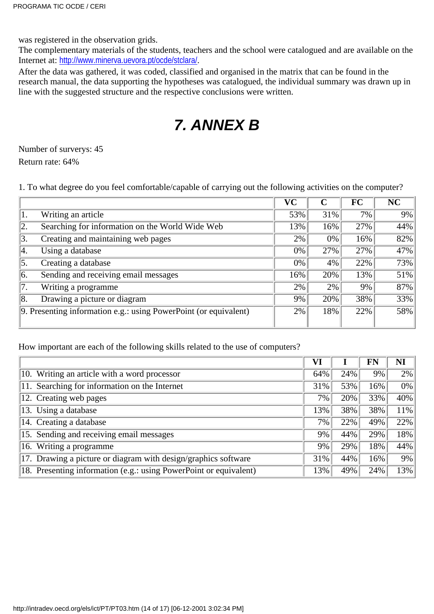was registered in the observation grids.

The complementary materials of the students, teachers and the school were catalogued and are available on the Internet at: <http://www.minerva.uevora.pt/ocde/stclara/>.

After the data was gathered, it was coded, classified and organised in the matrix that can be found in the research manual, the data supporting the hypotheses was catalogued, the individual summary was drawn up in line with the suggested structure and the respective conclusions were written.

# **7. ANNEX B**

Number of surverys: 45 Return rate: 64%

1. To what degree do you feel comfortable/capable of carrying out the following activities on the computer?

|     |                                                                  | VC  |     | FC  | <b>NC</b> |
|-----|------------------------------------------------------------------|-----|-----|-----|-----------|
| 1.  | Writing an article                                               | 53% | 31% | 7%  | 9%        |
| 12. | Searching for information on the World Wide Web                  | 13% | 16% | 27% | 44%       |
| 3.  | Creating and maintaining web pages                               | 2%  | 0%  | 16% | 82%       |
| Ι4. | Using a database                                                 | 0%  | 27% | 27% | 47%       |
| 5.  | Creating a database                                              | 0%  | 4%  | 22% | 73%       |
| 16. | Sending and receiving email messages                             | 16% | 20% | 13% | 51%       |
|     | Writing a programme                                              | 2%  | 2%  | 9%  | 87%       |
| 18. | Drawing a picture or diagram                                     | 9%  | 20% | 38% | 33%       |
|     | 9. Presenting information e.g.: using PowerPoint (or equivalent) | 2%  | 18% | 22% | 58%       |

How important are each of the following skills related to the use of computers?

|                                                                   | VI  |     | FN  | NI  |
|-------------------------------------------------------------------|-----|-----|-----|-----|
| 10. Writing an article with a word processor                      | 64% | 24% | 9%  | 2%  |
| 11. Searching for information on the Internet                     | 31% | 53% | 16% | 0%  |
| 12. Creating web pages                                            | 7%  | 20% | 33% | 40% |
| 13. Using a database                                              | 13% | 38% | 38% | 11% |
| 14. Creating a database                                           | 7%  | 22% | 49% | 22% |
| 15. Sending and receiving email messages                          | 9%  | 44% | 29% | 18% |
| 16. Writing a programme                                           | 9%  | 29% | 18% | 44% |
| 17. Drawing a picture or diagram with design/graphics software    | 31% | 44% | 16% | 9%  |
| 18. Presenting information (e.g.: using PowerPoint or equivalent) | 13% | 49% | 24% | 13% |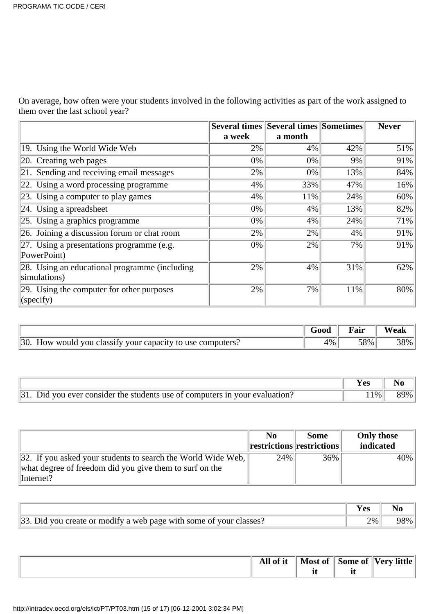On average, how often were your students involved in the following activities as part of the work assigned to them over the last school year?

|                                                               |        | <b>Several times Several times Sometimes</b> |     | <b>Never</b> |
|---------------------------------------------------------------|--------|----------------------------------------------|-----|--------------|
|                                                               | a week | a month                                      |     |              |
| 19. Using the World Wide Web                                  | 2%     | $4\%$                                        | 42% | 51%          |
| 20. Creating web pages                                        | 0%     | 0%                                           | 9%  | 91%          |
| 21. Sending and receiving email messages                      | 2%     | 0%                                           | 13% | 84%          |
| 22. Using a word processing programme                         | 4%     | 33%                                          | 47% | 16%          |
| 23. Using a computer to play games                            | 4%     | 11%                                          | 24% | 60%          |
| 24. Using a spreadsheet                                       | 0%     | 4%                                           | 13% | 82%          |
| 25. Using a graphics programme                                | 0%     | 4%                                           | 24% | 71%          |
| 26. Joining a discussion forum or chat room                   | 2%     | 2%                                           | 4%  | 91%          |
| $ 27$ . Using a presentations programme (e.g.<br>PowerPoint)  | 0%     | 2%                                           | 7%  | 91%          |
| 28. Using an educational programme (including<br>simulations) | 2%     | 4%                                           | 31% | 62%          |
| 29. Using the computer for other purposes<br>(specify)        | 2%     | 7%                                           | 11% | 80%          |

|                                                            | Good | Fair | Weak |
|------------------------------------------------------------|------|------|------|
| 30. How would you classify your capacity to use computers? | 4%   | 58%  | 38%  |

|                                                                                 | Yes   | N <sub>0</sub> |
|---------------------------------------------------------------------------------|-------|----------------|
| $ 31$ . Did you ever consider the students use of computers in your evaluation? | $1\%$ | 89%            |

|                                                                              | No                                                     | <b>Some</b> | <b>Only those</b> |
|------------------------------------------------------------------------------|--------------------------------------------------------|-------------|-------------------|
|                                                                              | $\  \textbf{restrictions} \  \textbf{restrictions} \ $ |             | indicated         |
| $\vert$ 32. If you asked your students to search the World Wide Web, $\vert$ | 24%                                                    | 36%         | $40\%$            |
| what degree of freedom did you give them to surf on the                      |                                                        |             |                   |
| [Internet!]                                                                  |                                                        |             |                   |

|                                                                    | 'es |     |
|--------------------------------------------------------------------|-----|-----|
| 33. Did you create or modify a web page with some of your classes? | 2%  | 98% |

|  | $\mathbf{a} \cdot \mathbf{b}$<br>- 11<br>-11 | $\bullet$<br>nt.<br>l net-<br>- - -<br> | -<br>ome of<br>. .<br>__ | . <del>.</del><br><i>attle</i><br>$\sqrt{\mathbf{A}^{\mathbf{M}}}$<br>ັ<br>$\sim$ |  |
|--|----------------------------------------------|-----------------------------------------|--------------------------|-----------------------------------------------------------------------------------|--|
|--|----------------------------------------------|-----------------------------------------|--------------------------|-----------------------------------------------------------------------------------|--|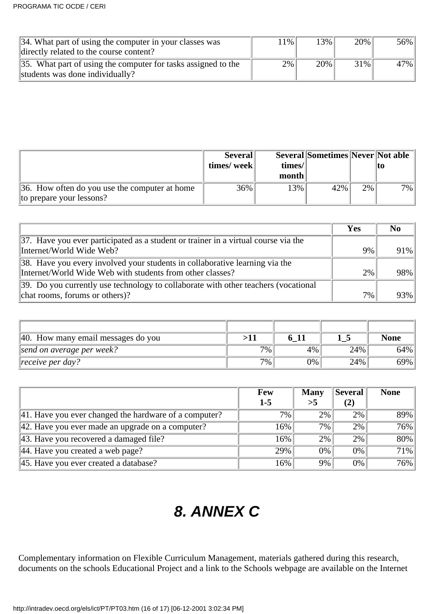| 34. What part of using the computer in your classes was       | 11% ' | 3%  | 20%    | 56% |
|---------------------------------------------------------------|-------|-----|--------|-----|
| directly related to the course content?                       |       |     |        |     |
| 35. What part of using the computer for tasks assigned to the | 2%    | 20% | $31\%$ | 47% |
| students was done individually?                               |       |     |        |     |

|                                                                           | <b>Several</b><br>times/week | times/ | Several Sometimes Never Not able |       | IИ    |
|---------------------------------------------------------------------------|------------------------------|--------|----------------------------------|-------|-------|
|                                                                           |                              | month  |                                  |       |       |
| 36. How often do you use the computer at home<br>to prepare your lessons? | 36%                          | 13%    | 42%                              | $2\%$ | $7\%$ |

|                                                                                            | Yes | No     |
|--------------------------------------------------------------------------------------------|-----|--------|
| $\vert$ 37. Have you ever participated as a student or trainer in a virtual course via the |     |        |
| Internet/World Wide Web?                                                                   | 9%  | $91\%$ |
| 38. Have you every involved your students in collaborative learning via the                |     |        |
| Internet/World Wide Web with students from other classes?                                  | 2%  | $98\%$ |
| 39. Do you currently use technology to collaborate with other teachers (vocational         |     |        |
| chat rooms, forums or others)?                                                             | 7%  | $93\%$ |

| 40. How many email messages do you | >11   |    |     | <b>None</b> |
|------------------------------------|-------|----|-----|-------------|
| send on average per week?          | $7\%$ | 4% | 24% | 64%         |
| $\ $ receive per day?              | 7%    | 0% | 24% | 69%         |

|                                                               | <b>Few</b> | <b>Many</b> | <b>Several</b> | <b>None</b> |
|---------------------------------------------------------------|------------|-------------|----------------|-------------|
|                                                               | $1-5$      | >5          | (2)            |             |
| $\vert$ 41. Have you ever changed the hardware of a computer? | $7\%$      | 2%          | 2%             | 89%         |
| $\vert$ 42. Have you ever made an upgrade on a computer?      | 16%        | 7%          | 2%             | 76%         |
| $\vert$ 43. Have you recovered a damaged file?                | 16%        | 2%          | 2%             | 80%         |
| $ 44$ . Have you created a web page?                          | 29%        | 0%          | 0%             | 71%         |
| $\vert$ 45. Have you ever created a database?                 | 16%        | 9%          | 0%             | 76%         |

# **8. ANNEX C**

Complementary information on Flexible Curriculum Management, materials gathered during this research, documents on the school s Educational Project and a link to the School s webpage are available on the Internet